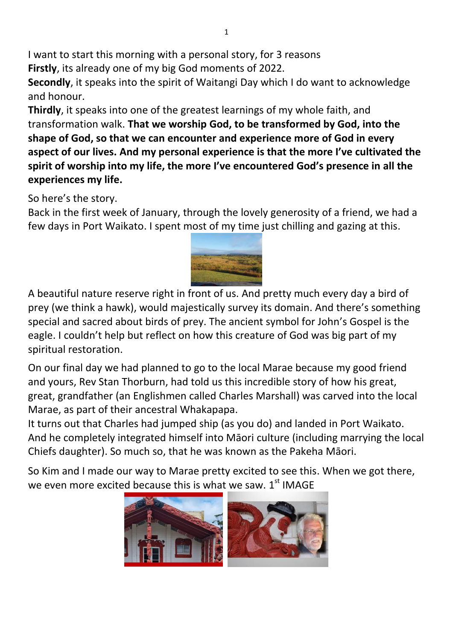I want to start this morning with a personal story, for 3 reasons **Firstly**, its already one of my big God moments of 2022.

**Secondly**, it speaks into the spirit of Waitangi Day which I do want to acknowledge and honour.

**Thirdly**, it speaks into one of the greatest learnings of my whole faith, and transformation walk. **That we worship God, to be transformed by God, into the shape of God, so that we can encounter and experience more of God in every aspect of our lives. And my personal experience is that the more I've cultivated the spirit of worship into my life, the more I've encountered God's presence in all the experiences my life.** 

So here's the story.

Back in the first week of January, through the lovely generosity of a friend, we had a few days in Port Waikato. I spent most of my time just chilling and gazing at this.



A beautiful nature reserve right in front of us. And pretty much every day a bird of prey (we think a hawk), would majestically survey its domain. And there's something special and sacred about birds of prey. The ancient symbol for John's Gospel is the eagle. I couldn't help but reflect on how this creature of God was big part of my spiritual restoration.

On our final day we had planned to go to the local Marae because my good friend and yours, Rev Stan Thorburn, had told us this incredible story of how his great, great, grandfather (an Englishmen called Charles Marshall) was carved into the local Marae, as part of their ancestral Whakapapa.

It turns out that Charles had jumped ship (as you do) and landed in Port Waikato. And he completely integrated himself into Māori culture (including marrying the local Chiefs daughter). So much so, that he was known as the Pakeha Māori.

So Kim and I made our way to Marae pretty excited to see this. When we got there, we even more excited because this is what we saw.  $1<sup>st</sup>$  IMAGE

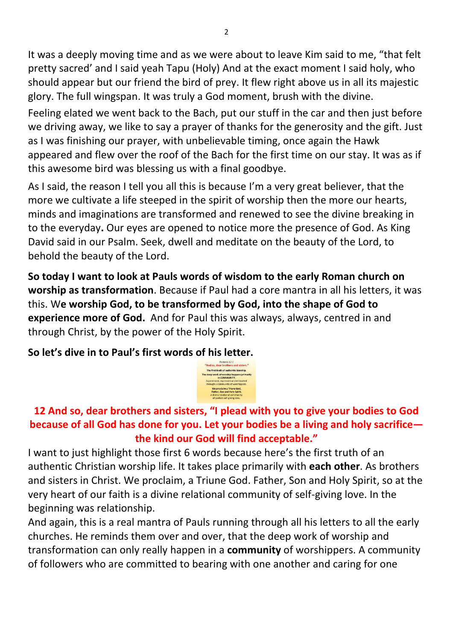It was a deeply moving time and as we were about to leave Kim said to me, "that felt pretty sacred' and I said yeah Tapu (Holy) And at the exact moment I said holy, who should appear but our friend the bird of prey. It flew right above us in all its majestic glory. The full wingspan. It was truly a God moment, brush with the divine.

Feeling elated we went back to the Bach, put our stuff in the car and then just before we driving away, we like to say a prayer of thanks for the generosity and the gift. Just as I was finishing our prayer, with unbelievable timing, once again the Hawk appeared and flew over the roof of the Bach for the first time on our stay. It was as if this awesome bird was blessing us with a final goodbye.

As I said, the reason I tell you all this is because I'm a very great believer, that the more we cultivate a life steeped in the spirit of worship then the more our hearts, minds and imaginations are transformed and renewed to see the divine breaking in to the everyday**.** Our eyes are opened to notice more the presence of God. As King David said in our Psalm. Seek, dwell and meditate on the beauty of the Lord, to behold the beauty of the Lord.

**So today I want to look at Pauls words of wisdom to the early Roman church on worship as transformation**. Because if Paul had a core mantra in all his letters, it was this. W**e worship God, to be transformed by God, into the shape of God to experience more of God.** And for Paul this was always, always, centred in and through Christ, by the power of the Holy Spirit.

**So let's dive in to Paul's first words of his letter.**

The first truth of authentic Worship

## **12 And so, dear brothers and sisters, "I plead with you to give your bodies to God because of all God has done for you. Let your bodies be a living and holy sacrifice the kind our God will find acceptable."**

I want to just highlight those first 6 words because here's the first truth of an authentic Christian worship life. It takes place primarily with **each other**. As brothers and sisters in Christ. We proclaim, a Triune God. Father, Son and Holy Spirit, so at the very heart of our faith is a divine relational community of self-giving love. In the beginning was relationship.

And again, this is a real mantra of Pauls running through all his letters to all the early churches. He reminds them over and over, that the deep work of worship and transformation can only really happen in a **community** of worshippers. A community of followers who are committed to bearing with one another and caring for one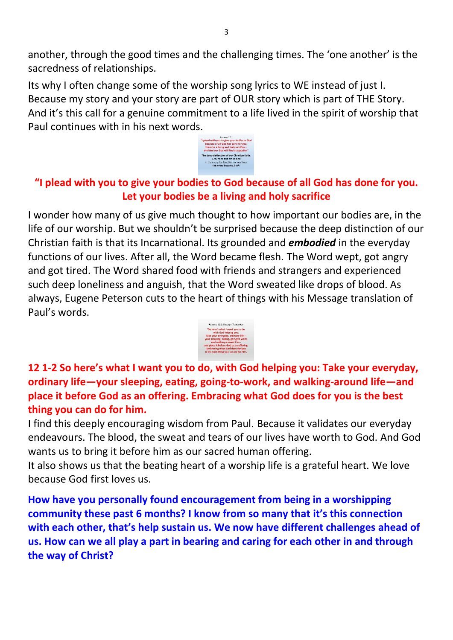another, through the good times and the challenging times. The 'one another' is the sacredness of relationships.

Its why I often change some of the worship song lyrics to WE instead of just I. Because my story and your story are part of OUR story which is part of THE Story. And it's this call for a genuine commitment to a life lived in the spirit of worship that Paul continues with in his next words.



## **"I plead with you to give your bodies to God because of all God has done for you. Let your bodies be a living and holy sacrifice**

I wonder how many of us give much thought to how important our bodies are, in the life of our worship. But we shouldn't be surprised because the deep distinction of our Christian faith is that its Incarnational. Its grounded and *embodied* in the everyday functions of our lives. After all, the Word became flesh. The Word wept, got angry and got tired. The Word shared food with friends and strangers and experienced such deep loneliness and anguish, that the Word sweated like drops of blood. As always, Eugene Peterson cuts to the heart of things with his Message translation of Paul's words.



**12 1-2 So here's what I want you to do, with God helping you: Take your everyday, ordinary life—your sleeping, eating, going-to-work, and walking-around life—and place it before God as an offering. Embracing what God does for you is the best thing you can do for him.** 

I find this deeply encouraging wisdom from Paul. Because it validates our everyday endeavours. The blood, the sweat and tears of our lives have worth to God. And God wants us to bring it before him as our sacred human offering.

It also shows us that the beating heart of a worship life is a grateful heart. We love because God first loves us.

**How have you personally found encouragement from being in a worshipping community these past 6 months? I know from so many that it's this connection with each other, that's help sustain us. We now have different challenges ahead of us. How can we all play a part in bearing and caring for each other in and through the way of Christ?**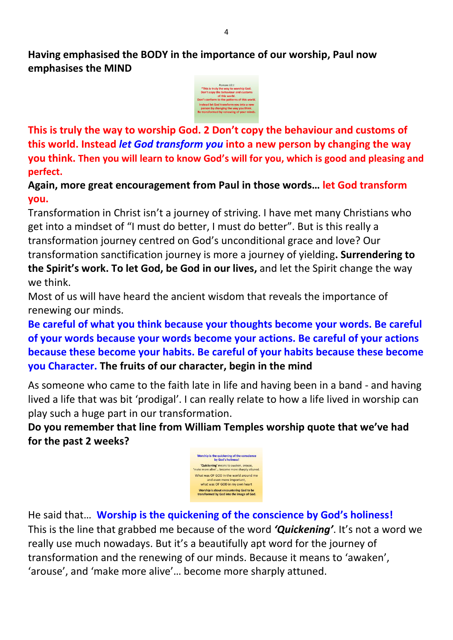**Having emphasised the BODY in the importance of our worship, Paul now emphasises the MIND** 



**This is truly the way to worship God. 2 Don't copy the behaviour and customs of this world. Instead** *let God transform you* **into a new person by changing the way you think. Then you will learn to know God's will for you, which is good and pleasing and perfect.** 

**Again, more great encouragement from Paul in those words… let God transform you.**

Transformation in Christ isn't a journey of striving. I have met many Christians who get into a mindset of "I must do better, I must do better". But is this really a transformation journey centred on God's unconditional grace and love? Our transformation sanctification journey is more a journey of yielding**. Surrendering to the Spirit's work. To let God, be God in our lives,** and let the Spirit change the way we think.

Most of us will have heard the ancient wisdom that reveals the importance of renewing our minds.

**Be careful of what you think because your thoughts become your words. Be careful of your words because your words become your actions. Be careful of your actions because these become your habits. Be careful of your habits because these become you Character. The fruits of our character, begin in the mind**

As someone who came to the faith late in life and having been in a band - and having lived a life that was bit 'prodigal'. I can really relate to how a life lived in worship can play such a huge part in our transformation.

**Do you remember that line from William Temples worship quote that we've had for the past 2 weeks?** 



He said that… **Worship is the quickening of the conscience by God's holiness!**  This is the line that grabbed me because of the word *'Quickening'*. It's not a word we really use much nowadays. But it's a beautifully apt word for the journey of transformation and the renewing of our minds. Because it means to 'awaken', 'arouse', and 'make more alive'… become more sharply attuned.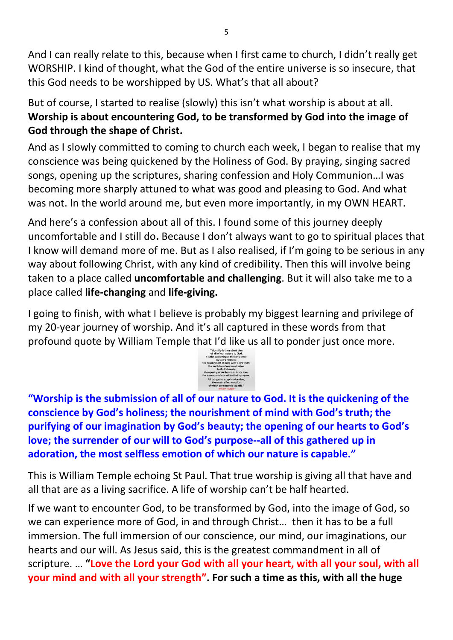And I can really relate to this, because when I first came to church, I didn't really get WORSHIP. I kind of thought, what the God of the entire universe is so insecure, that this God needs to be worshipped by US. What's that all about?

But of course, I started to realise (slowly) this isn't what worship is about at all. **Worship is about encountering God, to be transformed by God into the image of God through the shape of Christ.** 

And as I slowly committed to coming to church each week, I began to realise that my conscience was being quickened by the Holiness of God. By praying, singing sacred songs, opening up the scriptures, sharing confession and Holy Communion…I was becoming more sharply attuned to what was good and pleasing to God. And what was not. In the world around me, but even more importantly, in my OWN HEART.

And here's a confession about all of this. I found some of this journey deeply uncomfortable and I still do**.** Because I don't always want to go to spiritual places that I know will demand more of me. But as I also realised, if I'm going to be serious in any way about following Christ, with any kind of credibility. Then this will involve being taken to a place called **uncomfortable and challenging**. But it will also take me to a place called **life-changing** and **life-giving.** 

I going to finish, with what I believe is probably my biggest learning and privilege of my 20-year journey of worship. And it's all captured in these words from that profound quote by William Temple that I'd like us all to ponder just once more.<br>All the second second profound quote by William Temple



**"Worship is the submission of all of our nature to God. It is the quickening of the conscience by God's holiness; the nourishment of mind with God's truth; the purifying of our imagination by God's beauty; the opening of our hearts to God's love; the surrender of our will to God's purpose--all of this gathered up in adoration, the most selfless emotion of which our nature is capable."**

This is William Temple echoing St Paul. That true worship is giving all that have and all that are as a living sacrifice. A life of worship can't be half hearted.

If we want to encounter God, to be transformed by God, into the image of God, so we can experience more of God, in and through Christ… then it has to be a full immersion. The full immersion of our conscience, our mind, our imaginations, our hearts and our will. As Jesus said, this is the greatest commandment in all of scripture. … **"Love the Lord your God with all your heart, with all your soul, with all your mind and with all your strength". For such a time as this, with all the huge**